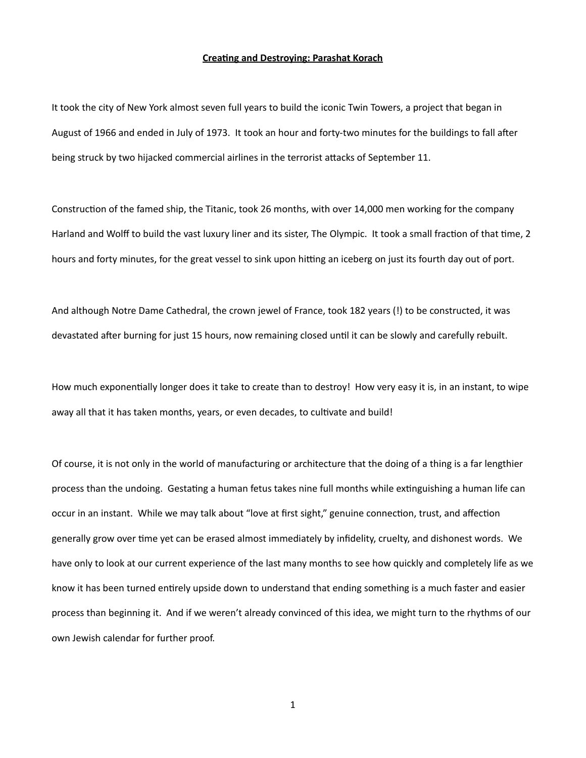## **Creating and Destroying: Parashat Korach**

It took the city of New York almost seven full years to build the iconic Twin Towers, a project that began in August of 1966 and ended in July of 1973. It took an hour and forty-two minutes for the buildings to fall after being struck by two hijacked commercial airlines in the terrorist attacks of September 11.

Construction of the famed ship, the Titanic, took 26 months, with over 14,000 men working for the company Harland and Wolff to build the vast luxury liner and its sister, The Olympic. It took a small fraction of that time, 2 hours and forty minutes, for the great vessel to sink upon hitting an iceberg on just its fourth day out of port.

And although Notre Dame Cathedral, the crown jewel of France, took 182 years (!) to be constructed, it was devastated after burning for just 15 hours, now remaining closed until it can be slowly and carefully rebuilt.

How much exponentially longer does it take to create than to destroy! How very easy it is, in an instant, to wipe away all that it has taken months, years, or even decades, to cultivate and build!

Of course, it is not only in the world of manufacturing or architecture that the doing of a thing is a far lengthier process than the undoing. Gestating a human fetus takes nine full months while extinguishing a human life can occur in an instant. While we may talk about "love at first sight," genuine connection, trust, and affection generally grow over time yet can be erased almost immediately by infidelity, cruelty, and dishonest words. We have only to look at our current experience of the last many months to see how quickly and completely life as we know it has been turned entirely upside down to understand that ending something is a much faster and easier process than beginning it. And if we weren't already convinced of this idea, we might turn to the rhythms of our own Jewish calendar for further proof.

1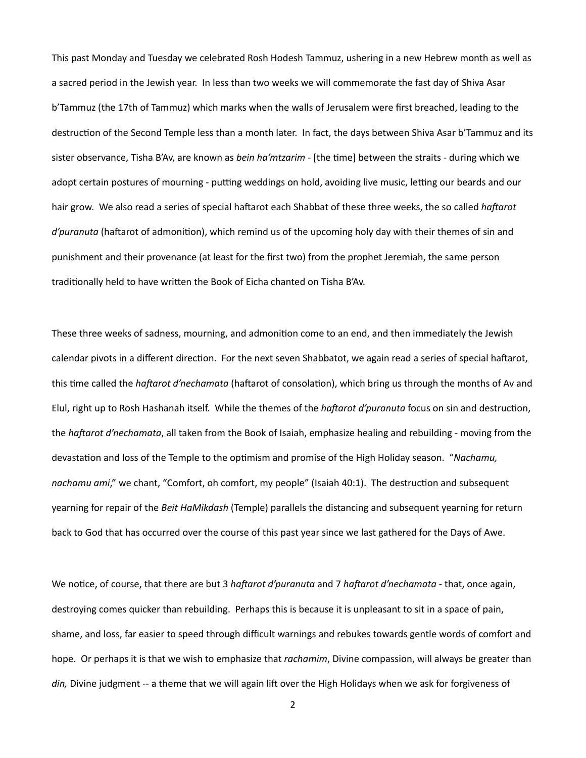This past Monday and Tuesday we celebrated Rosh Hodesh Tammuz, ushering in a new Hebrew month as well as a sacred period in the Jewish year. In less than two weeks we will commemorate the fast day of Shiva Asar b'Tammuz (the 17th of Tammuz) which marks when the walls of Jerusalem were first breached, leading to the destruction of the Second Temple less than a month later. In fact, the days between Shiva Asar b'Tammuz and its sister observance, Tisha B'Av, are known as *bein ha'mtzarim* - [the time] between the straits - during which we adopt certain postures of mourning - putting weddings on hold, avoiding live music, letting our beards and our hair grow. We also read a series of special haftarot each Shabbat of these three weeks, the so called *haftarot d'puranuta* (haftarot of admonition), which remind us of the upcoming holy day with their themes of sin and punishment and their provenance (at least for the first two) from the prophet Jeremiah, the same person traditionally held to have written the Book of Eicha chanted on Tisha B'Av.

These three weeks of sadness, mourning, and admonition come to an end, and then immediately the Jewish calendar pivots in a different direction. For the next seven Shabbatot, we again read a series of special haftarot, this time called the *haftarot d'nechamata* (haftarot of consolation), which bring us through the months of Av and Elul, right up to Rosh Hashanah itself. While the themes of the *haftarot d'puranuta* focus on sin and destruction, the *haftarot d'nechamata*, all taken from the Book of Isaiah, emphasize healing and rebuilding - moving from the devastation and loss of the Temple to the optimism and promise of the High Holiday season. "Nachamu, *nachamu ami*," we chant, "Comfort, oh comfort, my people" (Isaiah 40:1). The destruction and subsequent yearning for repair of the *Beit HaMikdash* (Temple) parallels the distancing and subsequent yearning for return back to God that has occurred over the course of this past year since we last gathered for the Days of Awe.

We notice, of course, that there are but 3 *haftarot d'puranuta* and 7 *haftarot d'nechamata* - that, once again, destroying comes quicker than rebuilding. Perhaps this is because it is unpleasant to sit in a space of pain, shame, and loss, far easier to speed through difficult warnings and rebukes towards gentle words of comfort and hope. Or perhaps it is that we wish to emphasize that *rachamim*, Divine compassion, will always be greater than *din*, Divine judgment -- a theme that we will again lift over the High Holidays when we ask for forgiveness of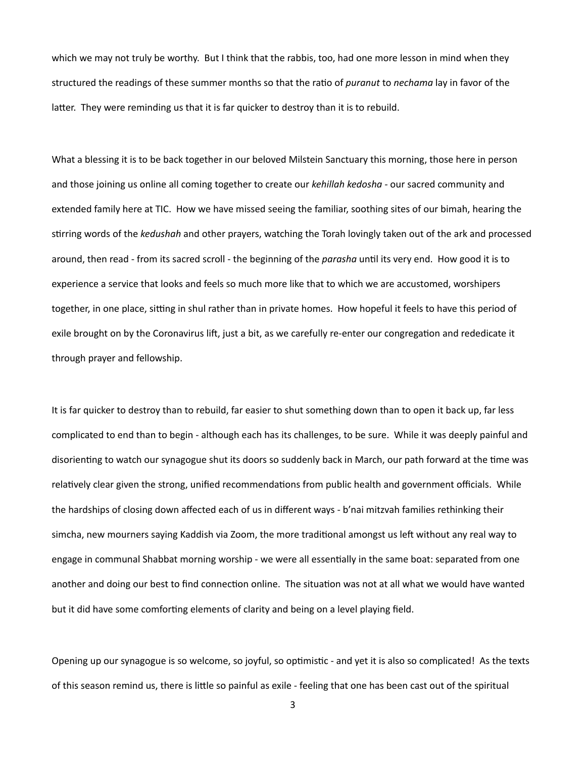which we may not truly be worthy. But I think that the rabbis, too, had one more lesson in mind when they structured the readings of these summer months so that the ratio of *puranut* to *nechama* lay in favor of the latter. They were reminding us that it is far quicker to destroy than it is to rebuild.

What a blessing it is to be back together in our beloved Milstein Sanctuary this morning, those here in person and those joining us online all coming together to create our *kehillah kedosha* - our sacred community and extended family here at TIC. How we have missed seeing the familiar, soothing sites of our bimah, hearing the stirring words of the *kedushah* and other prayers, watching the Torah lovingly taken out of the ark and processed around, then read - from its sacred scroll - the beginning of the *parasha* until its very end. How good it is to experience a service that looks and feels so much more like that to which we are accustomed, worshipers together, in one place, sitting in shul rather than in private homes. How hopeful it feels to have this period of exile brought on by the Coronavirus lift, just a bit, as we carefully re-enter our congregation and rededicate it through prayer and fellowship.

It is far quicker to destroy than to rebuild, far easier to shut something down than to open it back up, far less complicated to end than to begin - although each has its challenges, to be sure. While it was deeply painful and disorienting to watch our synagogue shut its doors so suddenly back in March, our path forward at the time was relatively clear given the strong, unified recommendations from public health and government officials. While the hardships of closing down affected each of us in different ways - b'nai mitzvah families rethinking their simcha, new mourners saying Kaddish via Zoom, the more traditional amongst us left without any real way to engage in communal Shabbat morning worship - we were all essentially in the same boat: separated from one another and doing our best to find connection online. The situation was not at all what we would have wanted but it did have some comforting elements of clarity and being on a level playing field.

Opening up our synagogue is so welcome, so joyful, so optimistic - and yet it is also so complicated! As the texts of this season remind us, there is little so painful as exile - feeling that one has been cast out of the spiritual

3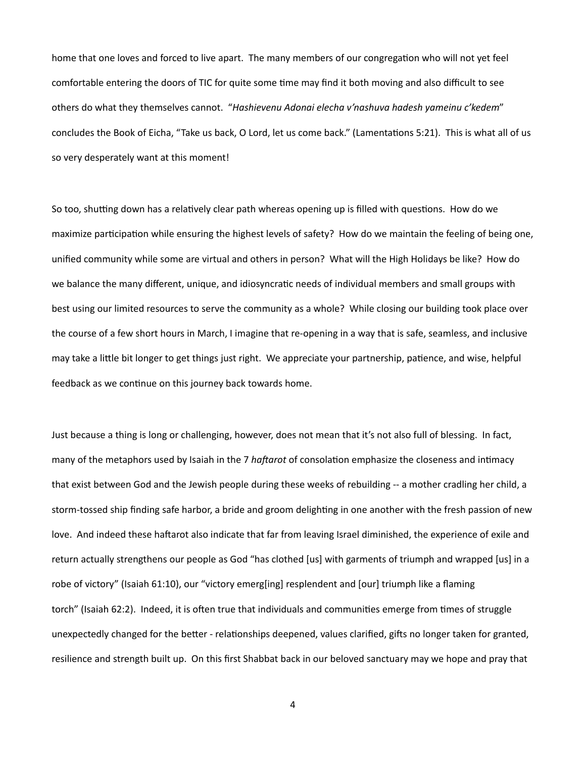home that one loves and forced to live apart. The many members of our congregation who will not yet feel comfortable entering the doors of TIC for quite some time may find it both moving and also difficult to see others do what they themselves cannot. "Hashievenu Adonai elecha v'nashuva hadesh yameinu c'kedem" concludes the Book of Eicha, "Take us back, O Lord, let us come back." (Lamentations 5:21). This is what all of us so very desperately want at this moment!

So too, shutting down has a relatively clear path whereas opening up is filled with questions. How do we maximize participation while ensuring the highest levels of safety? How do we maintain the feeling of being one, unified community while some are virtual and others in person? What will the High Holidays be like? How do we balance the many different, unique, and idiosyncratic needs of individual members and small groups with best using our limited resources to serve the community as a whole? While closing our building took place over the course of a few short hours in March, I imagine that re-opening in a way that is safe, seamless, and inclusive may take a little bit longer to get things just right. We appreciate your partnership, patience, and wise, helpful feedback as we continue on this journey back towards home.

Just because a thing is long or challenging, however, does not mean that it's not also full of blessing. In fact, many of the metaphors used by Isaiah in the 7 *haftarot* of consolation emphasize the closeness and intimacy that exist between God and the Jewish people during these weeks of rebuilding -- a mother cradling her child, a storm-tossed ship finding safe harbor, a bride and groom delighting in one another with the fresh passion of new love. And indeed these haftarot also indicate that far from leaving Israel diminished, the experience of exile and return actually strengthens our people as God "has clothed [us] with garments of triumph and wrapped [us] in a robe of victory" (Isaiah 61:10), our "victory emerg[ing] resplendent and [our] triumph like a flaming torch" (Isaiah 62:2). Indeed, it is often true that individuals and communities emerge from times of struggle unexpectedly changed for the better - relationships deepened, values clarified, gifts no longer taken for granted, resilience and strength built up. On this first Shabbat back in our beloved sanctuary may we hope and pray that

4